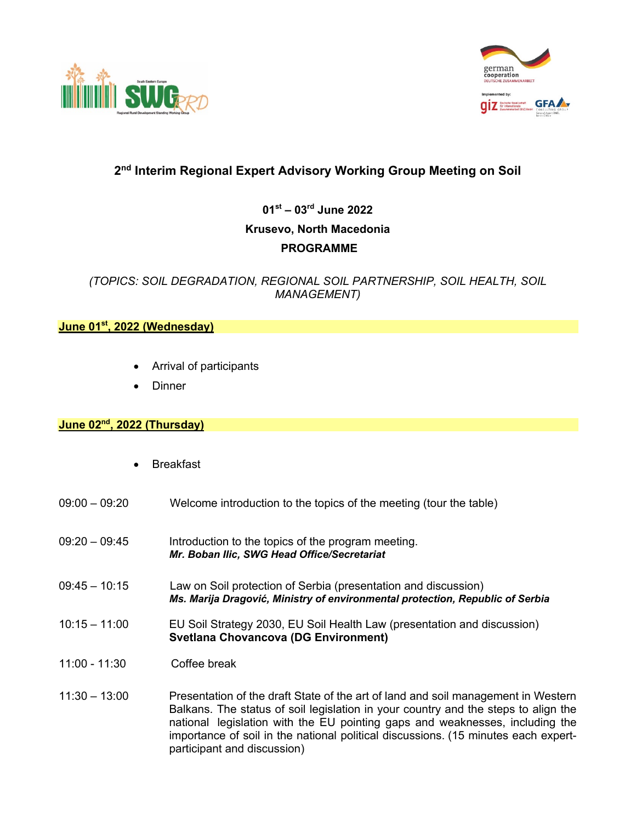



## **2nd Interim Regional Expert Advisory Working Group Meeting on Soil**

**01st – 03rd June 2022 Krusevo, North Macedonia PROGRAMME**

*(TOPICS: SOIL DEGRADATION, REGIONAL SOIL PARTNERSHIP, SOIL HEALTH, SOIL MANAGEMENT)*

## **June 01st, 2022 (Wednesday)**

- Arrival of participants
- Dinner

## **June 02nd, 2022 (Thursday)**

- **Breakfast**
- 09:00 09:20 Welcome introduction to the topics of the meeting (tour the table)
- 09:20 09:45 Introduction to the topics of the program meeting. *Mr. Boban Ilic, SWG Head Office/Secretariat*
- 09:45 10:15 Law on Soil protection of Serbia (presentation and discussion) *Ms. Marija Dragović, Ministry of environmental protection, Republic of Serbia*
- 10:15 11:00 EU Soil Strategy 2030, EU Soil Health Law (presentation and discussion) **Svetlana Chovancova (DG Environment)**
- 11:00 11:30 Coffee break
- 11:30 13:00 Presentation of the draft State of the art of land and soil management in Western Balkans. The status of soil legislation in your country and the steps to align the national legislation with the EU pointing gaps and weaknesses, including the importance of soil in the national political discussions. (15 minutes each expertparticipant and discussion)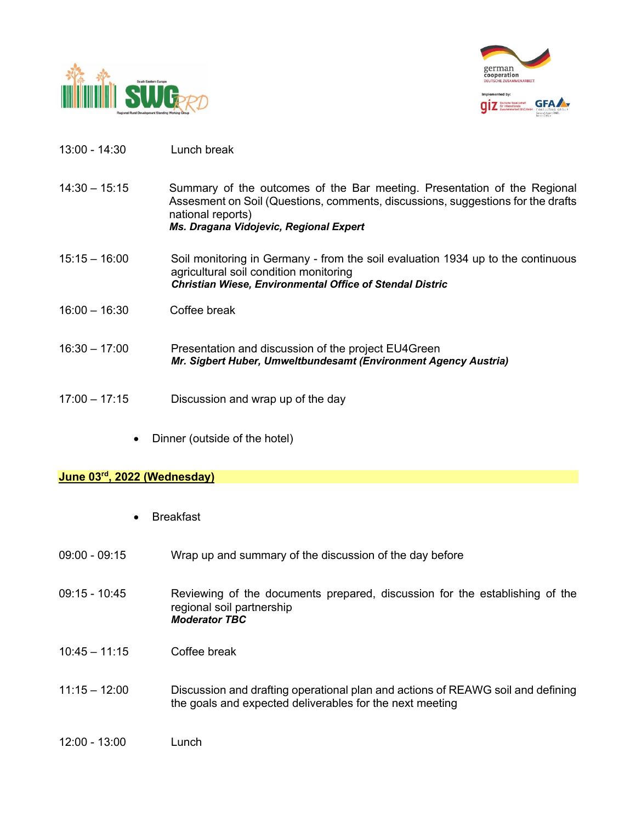



- 13:00 14:30 Lunch break
- 14:30 15:15 Summary of the outcomes of the Bar meeting. Presentation of the Regional Assesment on Soil (Questions, comments, discussions, suggestions for the drafts national reports)

*Ms. Dragana Vidojevic, Regional Expert*

- 15:15 16:00 Soil monitoring in Germany from the soil evaluation 1934 up to the continuous agricultural soil condition monitoring *Christian Wiese, Environmental Office of Stendal Distric*
- 16:00 16:30 Coffee break
- 16:30 17:00 Presentation and discussion of the project EU4Green *Mr. Sigbert Huber, Umweltbundesamt (Environment Agency Austria)*
- 17:00 17:15 Discussion and wrap up of the day
	- Dinner (outside of the hotel)

## **June 03rd, 2022 (Wednesday)**

- **Breakfast**
- 09:00 09:15 Wrap up and summary of the discussion of the day before
- 09:15 10:45 Reviewing of the documents prepared, discussion for the establishing of the regional soil partnership *Moderator TBC*
- 10:45 11:15 Coffee break
- 11:15 12:00 Discussion and drafting operational plan and actions of REAWG soil and defining the goals and expected deliverables for the next meeting
- 12:00 13:00 Lunch